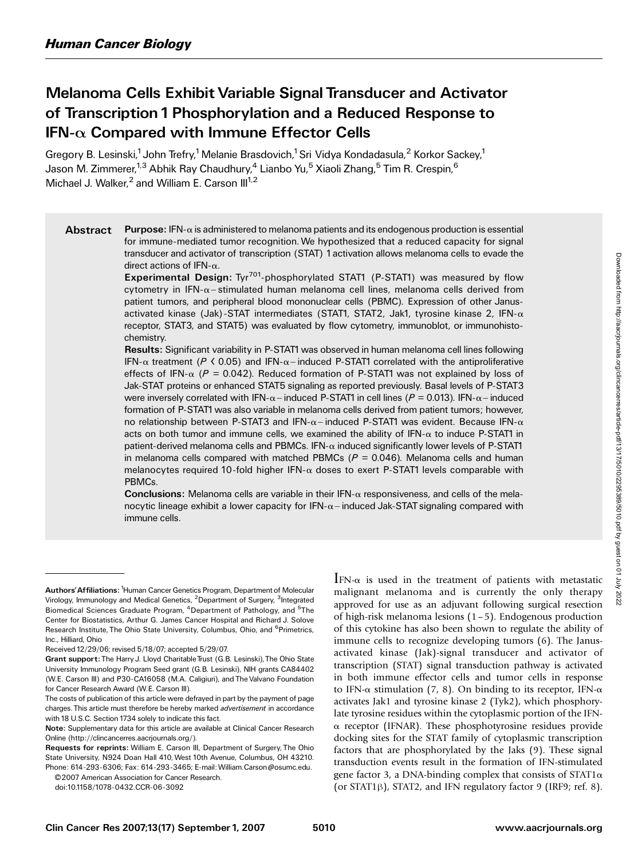# Melanoma Cells Exhibit Variable Signal Transducer and Activator of Transcription 1Phosphorylation and a Reduced Response to  $IFN-\alpha$  Compared with Immune Effector Cells

Gregory B. Lesinski,<sup>1</sup> John Trefry,<sup>1</sup> Melanie Brasdovich,<sup>1</sup> Sri Vidya Kondadasula,<sup>2</sup> Korkor Sackey,<sup>1</sup> Jason M. Zimmerer,<sup>1,3</sup> Abhik Ray Chaudhury,<sup>4</sup> Lianbo Yu,<sup>5</sup> Xiaoli Zhang,<sup>5</sup> Tim R. Crespin,<sup>6</sup> Michael J. Walker, <sup>2</sup> and William E. Carson  $III^{1,2}$ 

Abstract Purpose: IFN- $\alpha$  is administered to melanoma patients and its endogenous production is essential for immune-mediated tumor recognition. We hypothesized that a reduced capacity for signal transducer and activator of transcription (STAT) 1activation allows melanoma cells to evade the

direct actions of IFN-α.<br>**Experimental Design:** Tyr<sup>701</sup>-phosphorylated STAT1 (P-STAT1) was measured by flow cytometry in IFN- $\alpha$ -stimulated human melanoma cell lines, melanoma cells derived from patient tumors, and peripheral blood mononuclear cells (PBMC). Expression of other Janusactivated kinase (Jak)-STAT intermediates (STAT1, STAT2, Jak1, tyrosine kinase 2, IFN- $\alpha$ receptor, STAT3, and STAT5) was evaluated by flow cytometry, immunoblot, or immunohistochemistry.

Results: Significant variability in P-STAT1was observed in human melanoma cell lines following IFN- $\alpha$  treatment (P < 0.05) and IFN- $\alpha$ -induced P-STAT1 correlated with the antiproliferative effects of IFN- $\alpha$  (P = 0.042). Reduced formation of P-STAT1 was not explained by loss of Jak-STAT proteins or enhanced STAT5 signaling as reported previously. Basal levels of P-STAT3 were inversely correlated with IFN- $\alpha$  – induced P-STAT1 in cell lines ( $P = 0.013$ ). IFN- $\alpha$  – induced formation of P-STAT1 was also variable in melanoma cells derived from patient tumors; however, no relationship between P-STAT3 and IFN- $\alpha$ -induced P-STAT1 was evident. Because IFN- $\alpha$ acts on both tumor and immune cells, we examined the ability of IFN- $\alpha$  to induce P-STAT1 in patient-derived melanoma cells and PBMCs. IFN- $\alpha$  induced significantly lower levels of P-STAT1 in melanoma cells compared with matched PBMCs ( $P = 0.046$ ). Melanoma cells and human melanocytes required 10-fold higher IFN- $\alpha$  doses to exert P-STAT1 levels comparable with PBMCs.

**Conclusions:** Melanoma cells are variable in their IFN- $\alpha$  responsiveness, and cells of the melanocytic lineage exhibit a lower capacity for IFN- $\alpha$  - induced Jak-STAT signaling compared with immune cells.

©2007 American Association for Cancer Research

doi:10.1158/1078-0432.CCR-06-3092

 $IFN-\alpha$  is used in the treatment of patients with metastatic malignant melanoma and is currently the only therapy approved for use as an adjuvant following surgical resection of high-risk melanoma lesions  $(1 - 5)$ . Endogenous production of this cytokine has also been shown to regulate the ability of immune cells to recognize developing tumors (6). The Janusactivated kinase (Jak)-signal transducer and activator of transcription (STAT) signal transduction pathway is activated in both immune effector cells and tumor cells in response to IFN- $\alpha$  stimulation (7, 8). On binding to its receptor, IFN- $\alpha$ activates Jak1 and tyrosine kinase 2 (Tyk2), which phosphorylate tyrosine residues within the cytoplasmic portion of the IFN- $\alpha$  receptor (IFNAR). These phosphotyrosine residues provide docking sites for the STAT family of cytoplasmic transcription factors that are phosphorylated by the Jaks (9). These signal transduction events result in the formation of IFN-stimulated gene factor 3, a DNA-binding complex that consists of  $STAT1\alpha$ (or STAT1 $\beta$ ), STAT2, and IFN regulatory factor 9 (IRF9; ref. 8).

Authors' Affiliations: <sup>1</sup> Human Cancer Genetics Program, Department of Molecular Virology, Immunology and Medical Genetics, <sup>2</sup>Department of Surgery, <sup>3</sup>Integrated Biomedical Sciences Graduate Program, <sup>4</sup>Department of Pathology, and <sup>5</sup>The Center for Biostatistics, Arthur G. James Cancer Hospital and Richard J. Solove Research Institute, The Ohio State University, Columbus, Ohio, and <sup>6</sup>Primetrics, Inc., Hilliard, Ohio

Received 12/29/06; revised 5/18/07; accepted 5/29/07.

Grant support: The Harry J. Lloyd CharitableTrust (G.B. Lesinski),The Ohio State University Immunology Program Seed grant (G.B. Lesinski), NIH grants CA84402 (W.E. Carson III) and P30-CA16058 (M.A. Caligiuri), and The Valvano Foundation for Cancer Research Award (W.E. Carson III).

The costs of publication of this article were defrayed in part by the payment of page charges. This article must therefore be hereby marked advertisement in accordance with 18 U.S.C. Section 1734 solely to indicate this fact.

Note: Supplementary data for this article are available at Clinical Cancer Research Online (http://clincancerres.aacrjournals.org/).

Requests for reprints: William E. Carson III, Department of Surgery, The Ohio State University, N924 Doan Hall 410, West 10th Avenue, Columbus, OH 43210. Phone: 614-293-6306; Fax: 614-293-3465; E-mail:William.Carson@osumc.edu.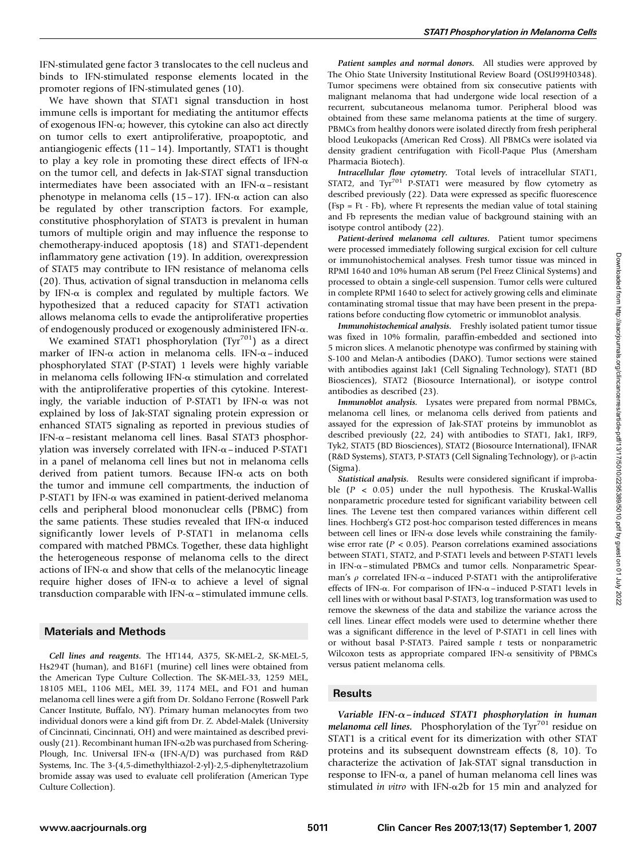IFN-stimulated gene factor 3 translocates to the cell nucleus and binds to IFN-stimulated response elements located in the promoter regions of IFN-stimulated genes (10).

We have shown that STAT1 signal transduction in host immune cells is important for mediating the antitumor effects of exogenous IFN- $\alpha$ ; however, this cytokine can also act directly on tumor cells to exert antiproliferative, proapoptotic, and antiangiogenic effects  $(11-14)$ . Importantly, STAT1 is thought to play a key role in promoting these direct effects of IFN- $\alpha$ on the tumor cell, and defects in Jak-STAT signal transduction intermediates have been associated with an IFN- $\alpha$ – resistant phenotype in melanoma cells (15 – 17). IFN- $\alpha$  action can also be regulated by other transcription factors. For example, constitutive phosphorylation of STAT3 is prevalent in human tumors of multiple origin and may influence the response to chemotherapy-induced apoptosis (18) and STAT1-dependent inflammatory gene activation (19). In addition, overexpression of STAT5 may contribute to IFN resistance of melanoma cells (20).Thus, activation of signal transduction in melanoma cells by IFN- $\alpha$  is complex and regulated by multiple factors. We hypothesized that a reduced capacity for STAT1 activation allows melanoma cells to evade the antiproliferative properties of endogenously produced or exogenously administered IFN-a.

We examined STAT1 phosphorylation (Tyr<sup>701</sup>) as a direct marker of IFN- $\alpha$  action in melanoma cells. IFN- $\alpha$ –induced phosphorylated STAT (P-STAT) 1 levels were highly variable in melanoma cells following IFN- $\alpha$  stimulation and correlated with the antiproliferative properties of this cytokine. Interestingly, the variable induction of P-STAT1 by IFN- $\alpha$  was not explained by loss of Jak-STAT signaling protein expression or enhanced STAT5 signaling as reported in previous studies of IFN- $\alpha$ – resistant melanoma cell lines. Basal STAT3 phosphorylation was inversely correlated with IFN- $\alpha$ –induced P-STAT1 in a panel of melanoma cell lines but not in melanoma cells derived from patient tumors. Because IFN- $\alpha$  acts on both the tumor and immune cell compartments, the induction of P-STAT1 by IFN- $\alpha$  was examined in patient-derived melanoma cells and peripheral blood mononuclear cells (PBMC) from the same patients. These studies revealed that IFN- $\alpha$  induced significantly lower levels of P-STAT1 in melanoma cells compared with matched PBMCs.Together, these data highlight the heterogeneous response of melanoma cells to the direct actions of IFN- $\alpha$  and show that cells of the melanocytic lineage require higher doses of IFN- $\alpha$  to achieve a level of signal transduction comparable with IFN- $\alpha$  – stimulated immune cells.

#### Materials and Methods

Cell lines and reagents. The HT144, A375, SK-MEL-2, SK-MEL-5, Hs294T (human), and B16F1 (murine) cell lines were obtained from the American Type Culture Collection. The SK-MEL-33, 1259 MEL, 18105 MEL, 1106 MEL, MEL 39, 1174 MEL, and FO1 and human melanoma cell lines were a gift from Dr. Soldano Ferrone (Roswell Park Cancer Institute, Buffalo, NY). Primary human melanocytes from two individual donors were a kind gift from Dr. Z. Abdel-Malek (University of Cincinnati, Cincinnati, OH) and were maintained as described previously (21). Recombinant human IFN- $\alpha$ 2b was purchased from Schering-Plough, Inc. Universal IFN- $\alpha$  (IFN-A/D) was purchased from R&D Systems, Inc.The 3-(4,5-dimethylthiazol-2-yl)-2,5-diphenyltetrazolium bromide assay was used to evaluate cell proliferation (American Type Culture Collection).

Patient samples and normal donors. All studies were approved by The Ohio State University Institutional Review Board (OSU99H0348). Tumor specimens were obtained from six consecutive patients with malignant melanoma that had undergone wide local resection of a recurrent, subcutaneous melanoma tumor. Peripheral blood was obtained from these same melanoma patients at the time of surgery. PBMCs from healthy donors were isolated directly from fresh peripheral blood Leukopacks (American Red Cross). All PBMCs were isolated via density gradient centrifugation with Ficoll-Paque Plus (Amersham Pharmacia Biotech).

Intracellular flow cytometry. Total levels of intracellular STAT1, STAT2, and  $Ty<sup>701</sup>$  P-STAT1 were measured by flow cytometry as described previously (22). Data were expressed as specific fluorescence (Fsp = Ft - Fb), where Ft represents the median value of total staining and Fb represents the median value of background staining with an isotype control antibody (22).

Patient-derived melanoma cell cultures. Patient tumor specimens were processed immediately following surgical excision for cell culture or immunohistochemical analyses.Fresh tumor tissue was minced in RPMI 1640 and 10% human AB serum (Pel Freez Clinical Systems) and processed to obtain a single-cell suspension.Tumor cells were cultured in complete RPMI 1640 to select for actively growing cells and eliminate contaminating stromal tissue that may have been present in the preparations before conducting flow cytometric or immunoblot analysis.

Immunohistochemical analysis. Freshly isolated patient tumor tissue was fixed in 10% formalin, paraffin-embedded and sectioned into 5 micron slices.A melanotic phenotype was confirmed by staining with S-100 and Melan-A antibodies (DAKO). Tumor sections were stained with antibodies against Jak1 (Cell Signaling Technology), STAT1 (BD Biosciences), STAT2 (Biosource International), or isotype control antibodies as described (23).

Immunoblot analysis. Lysates were prepared from normal PBMCs, melanoma cell lines, or melanoma cells derived from patients and assayed for the expression of Jak-STAT proteins by immunoblot as described previously (22, 24) with antibodies to STAT1, Jak1, IRF9, Tyk2, STAT5 (BD Biosciences), STAT2 (Biosource International), IFNAR (R&D Systems), STAT3, P-STAT3 (Cell Signaling Technology), or β-actin (Sigma).

Statistical analysis. Results were considered significant if improbable  $(P < 0.05)$  under the null hypothesis. The Kruskal-Wallis nonparametric procedure tested for significant variability between cell lines.The Levene test then compared variances within different cell lines. Hochberg's GT2 post-hoc comparison tested differences in means between cell lines or IFN- $\alpha$  dose levels while constraining the familywise error rate ( $P < 0.05$ ). Pearson correlations examined associations between STAT1, STAT2, and P-STAT1 levels and between P-STAT1 levels in IFN- $\alpha$  – stimulated PBMCs and tumor cells. Nonparametric Spearman's  $\rho$  correlated IFN- $\alpha$ –induced P-STAT1 with the antiproliferative effects of IFN- $\alpha$ . For comparison of IFN- $\alpha$ –induced P-STAT1 levels in cell lines with or without basal P-STAT3, log transformation was used to remove the skewness of the data and stabilize the variance across the cell lines. Linear effect models were used to determine whether there was a significant difference in the level of P-STAT1 in cell lines with or without basal P-STAT3. Paired sample  $t$  tests or nonparametric Wilcoxon tests as appropriate compared IFN-a sensitivity of PBMCs versus patient melanoma cells.

## **Results**

Variable IFN- $\alpha$ -induced STAT1 phosphorylation in human melanoma cell lines. Phosphorylation of the Tyr $^{701}$  residue on STAT1 is a critical event for its dimerization with other STAT proteins and its subsequent downstream effects (8, 10).To characterize the activation of Jak-STAT signal transduction in response to IFN- $\alpha$ , a panel of human melanoma cell lines was stimulated in vitro with IFN- $\alpha$ 2b for 15 min and analyzed for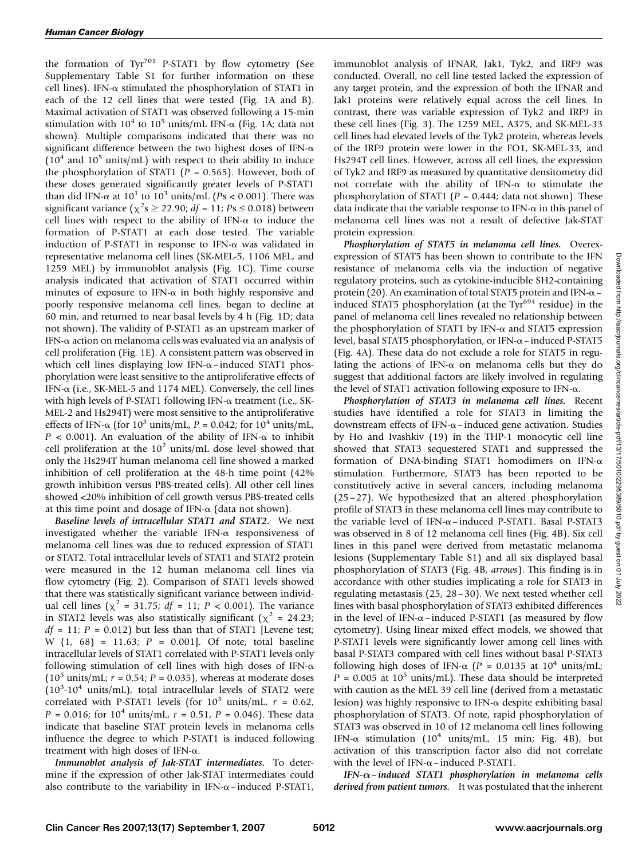the formation of  $Tyr^{701}$  P-STAT1 by flow cytometry (See Supplementary Table S1 for further information on these cell lines). IFN- $\alpha$  stimulated the phosphorylation of STAT1 in each of the 12 cell lines that were tested (Fig.1A and B). Maximal activation of STAT1 was observed following a 15-min stimulation with  $10^4$  to  $10^5$  units/mL IFN- $\alpha$  (Fig. 1A; data not shown). Multiple comparisons indicated that there was no significant difference between the two highest doses of IFN- $\alpha$  $(10<sup>4</sup>$  and  $10<sup>5</sup>$  units/mL) with respect to their ability to induce the phosphorylation of STAT1 ( $P = 0.565$ ). However, both of these doses generated significantly greater levels of P-STAT1 than did IFN- $\alpha$  at 10<sup>1</sup> to 10<sup>3</sup> units/mL (Ps < 0.001). There was significant variance ( $\chi^2$ s  $\geq$  22.90; df = 11; Ps  $\leq$  0.018) between cell lines with respect to the ability of IFN- $\alpha$  to induce the formation of P-STAT1 at each dose tested. The variable induction of P-STAT1 in response to IFN- $\alpha$  was validated in representative melanoma cell lines (SK-MEL-5, 1106 MEL, and 1259 MEL) by immunoblot analysis (Fig. 1C). Time course analysis indicated that activation of STAT1 occurred within minutes of exposure to IFN- $\alpha$  in both highly responsive and poorly responsive melanoma cell lines, began to decline at 60 min, and returned to near basal levels by 4 h (Fig.1D; data not shown).The validity of P-STAT1 as an upstream marker of IFN- $\alpha$  action on melanoma cells was evaluated via an analysis of cell proliferation (Fig. 1E). A consistent pattern was observed in which cell lines displaying low IFN- $\alpha$ –induced STAT1 phosphorylation were least sensitive to the antiproliferative effects of IFN- $\alpha$  (i.e., SK-MEL-5 and 1174 MEL). Conversely, the cell lines with high levels of P-STAT1 following IFN- $\alpha$  treatment (i.e., SK-MEL-2 and Hs294T) were most sensitive to the antiproliferative effects of IFN- $\alpha$  (for 10<sup>3</sup> units/mL, P = 0.042; for 10<sup>4</sup> units/mL,  $P < 0.001$ ). An evaluation of the ability of IFN- $\alpha$  to inhibit cell proliferation at the  $10^2$  units/mL dose level showed that only the Hs294T human melanoma cell line showed a marked inhibition of cell proliferation at the 48-h time point (42% growth inhibition versus PBS-treated cells).All other cell lines showed <20% inhibition of cell growth versus PBS-treated cells at this time point and dosage of IFN- $\alpha$  (data not shown).

Baseline levels of intracellular STAT1 and STAT2. We next investigated whether the variable IFN- $\alpha$  responsiveness of melanoma cell lines was due to reduced expression of STAT1 or STAT2.Total intracellular levels of STAT1 and STAT2 protein were measured in the 12 human melanoma cell lines via flow cytometry (Fig. 2). Comparison of STAT1 levels showed that there was statistically significant variance between individual cell lines ( $\chi^2$  = 31.75; *df* = 11; *P* < 0.001). The variance in STAT2 levels was also statistically significant ( $\chi^2$  = 24.23;  $df = 11$ ;  $P = 0.012$ ) but less than that of STAT1 [Levene test; W  $(1, 68) = 11.63; P = 0.001$ ]. Of note, total baseline intracellular levels of STAT1 correlated with P-STAT1 levels only following stimulation of cell lines with high doses of IFN- $\alpha$  $(10^5 \text{ units/mL}; r = 0.54; P = 0.035)$ , whereas at moderate doses  $(10^3 \text{-} 10^4 \text{ units/mL})$ , total intracellular levels of STAT2 were correlated with P-STAT1 levels (for  $10^3$  units/mL,  $r = 0.62$ ,  $P = 0.016$ ; for  $10^4$  units/mL,  $r = 0.51$ ,  $P = 0.046$ ). These data indicate that baseline STAT protein levels in melanoma cells influence the degree to which P-STAT1 is induced following treatment with high doses of IFN- $\alpha$ .

Immunoblot analysis of Jak-STAT intermediates. To determine if the expression of other Jak-STAT intermediates could also contribute to the variability in IFN- $\alpha$ –induced P-STAT1, immunoblot analysis of IFNAR, Jak1, Tyk2, and IRF9 was conducted.Overall, no cell line tested lacked the expression of any target protein, and the expression of both the IFNAR and Jak1 proteins were relatively equal across the cell lines. In contrast, there was variable expression of Tyk2 and IRF9 in these cell lines (Fig.3).The 1259 MEL, A375, and SK-MEL-33 cell lines had elevated levels of the Tyk2 protein, whereas levels of the IRF9 protein were lower in the FO1, SK-MEL-33, and Hs294T cell lines. However, across all cell lines, the expression of Tyk2 and IRF9 as measured by quantitative densitometry did not correlate with the ability of IFN- $\alpha$  to stimulate the phosphorylation of STAT1 ( $P = 0.444$ ; data not shown). These data indicate that the variable response to IFN- $\alpha$  in this panel of melanoma cell lines was not a result of defective Jak-STAT protein expression.

Phosphorylation of STAT5 in melanoma cell lines. Overexexpression of STAT5 has been shown to contribute to the IFN resistance of melanoma cells via the induction of negative regulatory proteins, such as cytokine-inducible SH2-containing protein (20). An examination of total STAT5 protein and IFN- $\alpha$  – induced STAT5 phosphorylation (at the Tyr $694$  residue) in the panel of melanoma cell lines revealed no relationship between the phosphorylation of STAT1 by IFN- $\alpha$  and STAT5 expression level, basal STAT5 phosphorylation, or IFN-a–induced P-STAT5 (Fig.4A).These data do not exclude a role for STAT5 in regulating the actions of IFN- $\alpha$  on melanoma cells but they do suggest that additional factors are likely involved in regulating the level of STAT1 activation following exposure to IFN- $\alpha$ .

Phosphorylation of STAT3 in melanoma cell lines. Recent studies have identified a role for STAT3 in limiting the downstream effects of IFN- $\alpha$ –induced gene activation. Studies by Ho and Ivashkiv (19) in the THP-1 monocytic cell line showed that STAT3 sequestered STAT1 and suppressed the formation of DNA-binding STAT1 homodimers on IFN- $\alpha$ stimulation. Furthermore, STAT3 has been reported to be constitutively active in several cancers, including melanoma  $(25-27)$ . We hypothesized that an altered phosphorylation profile of STAT3 in these melanoma cell lines may contribute to the variable level of IFN- $\alpha$ –induced P-STAT1. Basal P-STAT3 was observed in 8 of 12 melanoma cell lines (Fig. 4B). Six cell lines in this panel were derived from metastatic melanoma lesions (Supplementary Table S1) and all six displayed basal phosphorylation of STAT3 (Fig.4B, arrows).This finding is in accordance with other studies implicating a role for STAT3 in regulating metastasis (25, 28– 30).We next tested whether cell lines with basal phosphorylation of STAT3 exhibited differences in the level of IFN- $\alpha$ –induced P-STAT1 (as measured by flow cytometry). Using linear mixed effect models, we showed that P-STAT1 levels were significantly lower among cell lines with basal P-STAT3 compared with cell lines without basal P-STAT3 following high doses of IFN- $\alpha$  (P = 0.0135 at 10<sup>4</sup> units/mL;  $P = 0.005$  at 10<sup>5</sup> units/mL). These data should be interpreted with caution as the MEL 39 cell line (derived from a metastatic lesion) was highly responsive to IFN- $\alpha$  despite exhibiting basal phosphorylation of STAT3. Of note, rapid phosphorylation of STAT3 was observed in 10 of 12 melanoma cell lines following IFN- $\alpha$  stimulation (10<sup>4</sup> units/mL, 15 min; Fig. 4B), but activation of this transcription factor also did not correlate with the level of IFN- $\alpha$ –induced P-STAT1.

IFN- $\alpha$ –induced STAT1 phosphorylation in melanoma cells derived from patient tumors. It was postulated that the inherent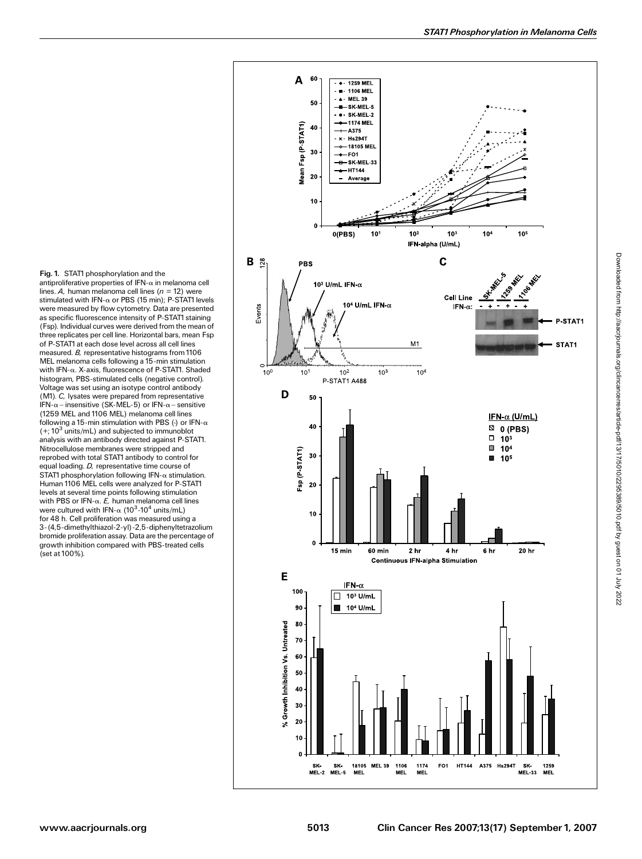Fig. 1. STAT1 phosphorylation and the antiproliferative properties of IFN- $\alpha$  in melanoma cell lines. A, human melanoma cell lines ( $n = 12$ ) were stimulated with IFN- $\alpha$  or PBS (15 min); P-STAT1 levels were measured by flow cytometry. Data are presented as specific fluorescence intensity of P-STAT1 staining (Fsp). Individual curves were derived fromthe mean of three replicates per cell line. Horizontal bars, mean Fsp of P-STAT1at each dose level across all cell lines measured. B, representative histograms from 1106 MEL melanoma cells following a 15-min stimulation<br>with IFN-α. X-axis, fluorescence of P-STAT1. Shaded with IFN-a. X-axis, fluorescence of P-STAT1. Shaded histogram, PBS-stimulated cells (negative control). Voltage was set using an isotype control antibody (M1). C, lysates were prepared from representative IFN- $\alpha$  – insensitive (SK-MEL-5) or IFN- $\alpha$  – sensitive (1259 MEL and 1106 MEL) melanoma cell lines following a 15-min stimulation with PBS (-) or IFN- $\alpha$  $(+; 10<sup>3</sup>$  units/mL) and subjected to immunoblot analysis with an antibody directed against P-STAT1. Nitrocellulose membranes were stripped and reprobed with total STAT1antibody to control for equal loading. D, representative time course of STAT1 phosphorylation following IFN- $\alpha$  stimulation. Human 1106 MEL cells were analyzed for P-STAT1 levels at several time points following stimulation with PBS or IFN- $\alpha$ . E, human melanoma cell lines were cultured with IFN- $\alpha$  (10<sup>3</sup>-10<sup>4</sup> units/mL)<br>for 48 b. Cell proliferation was measured usin for 48 h. Cell proliferation was measured using a 3-(4,5-dimethylthiazol-2-yl)-2,5-diphenyltetrazolium bromide proliferation assay. Data are the percentage of growth inhibition compared with PBS-treated cells (set at 100%).

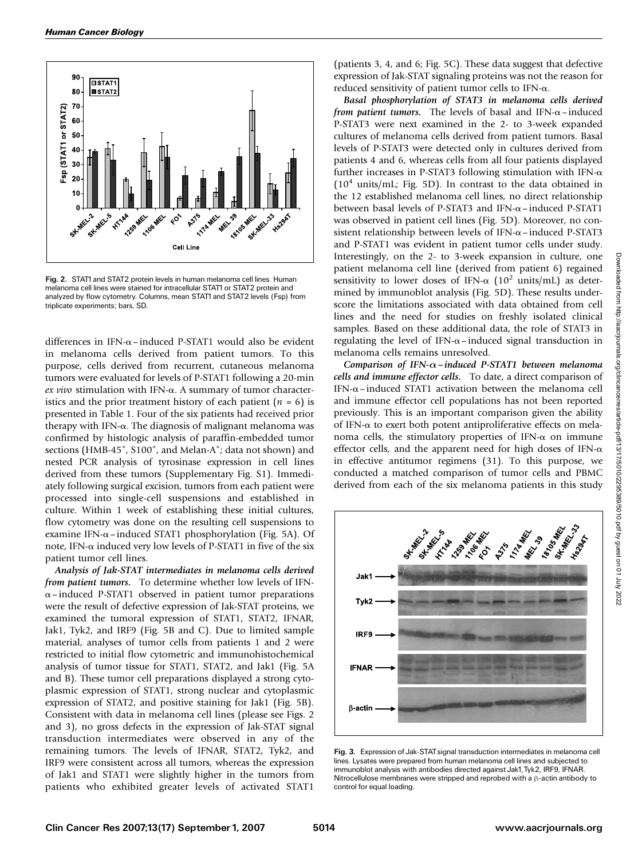

Fig. 2. STAT1 and STAT2 protein levels in human melanoma cell lines. Human melanoma cell lines were stained for intracellular STAT1 or STAT2 protein and analyzed by flow cytometry. Columns, mean STAT1and STAT2 levels (Fsp) from triplicate experiments; bars, SD.

differences in IFN- $\alpha$ –induced P-STAT1 would also be evident in melanoma cells derived from patient tumors.To this purpose, cells derived from recurrent, cutaneous melanoma tumors were evaluated for levels of P-STAT1 following a 20-min ex vivo stimulation with IFN- $\alpha$ . A summary of tumor characteristics and the prior treatment history of each patient  $(n = 6)$  is presented in Table 1.Four of the six patients had received prior therapy with IFN- $\alpha$ . The diagnosis of malignant melanoma was confirmed by histologic analysis of paraffin-embedded tumor sections (HMB-45<sup>+</sup>, S100<sup>+</sup>, and Melan-A<sup>+</sup>; data not shown) and nested PCR analysis of tyrosinase expression in cell lines derived from these tumors (Supplementary Fig. S1). Immediately following surgical excision, tumors from each patient were processed into single-cell suspensions and established in culture. Within 1 week of establishing these initial cultures, flow cytometry was done on the resulting cell suspensions to examine IFN- $\alpha$ –induced STAT1 phosphorylation (Fig. 5A). Of note, IFN- $\alpha$  induced very low levels of P-STAT1 in five of the six patient tumor cell lines.

Analysis of Jak-STAT intermediates in melanoma cells derived from patient tumors. To determine whether low levels of IFN- $\alpha$ –induced P-STAT1 observed in patient tumor preparations were the result of defective expression of Jak-STAT proteins, we examined the tumoral expression of STAT1, STAT2, IFNAR, Jak1, Tyk2, and IRF9 (Fig. 5B and C). Due to limited sample material, analyses of tumor cells from patients 1 and 2 were restricted to initial flow cytometric and immunohistochemical analysis of tumor tissue for STAT1, STAT2, and Jak1 (Fig.5A and B). These tumor cell preparations displayed a strong cytoplasmic expression of STAT1, strong nuclear and cytoplasmic expression of STAT2, and positive staining for Jak1 (Fig.5B). Consistent with data in melanoma cell lines (please see Figs.2 and 3), no gross defects in the expression of Jak-STAT signal transduction intermediates were observed in any of the remaining tumors.The levels of IFNAR, STAT2, Tyk2, and IRF9 were consistent across all tumors, whereas the expression of Jak1 and STAT1 were slightly higher in the tumors from patients who exhibited greater levels of activated STAT1

(patients 3, 4, and 6; Fig. 5C). These data suggest that defective expression of Jak-STAT signaling proteins was not the reason for reduced sensitivity of patient tumor cells to IFN- $\alpha$ .

Basal phosphorylation of STAT3 in melanoma cells derived from patient tumors. The levels of basal and IFN- $\alpha$ –induced P-STAT3 were next examined in the 2- to 3-week expanded cultures of melanoma cells derived from patient tumors. Basal levels of P-STAT3 were detected only in cultures derived from patients 4 and 6, whereas cells from all four patients displayed further increases in P-STAT3 following stimulation with IFN- $\alpha$  $(10<sup>4</sup> units/mL; Fig. 5D)$ . In contrast to the data obtained in the 12 established melanoma cell lines, no direct relationship between basal levels of P-STAT3 and IFN- $\alpha$ –induced P-STAT1 was observed in patient cell lines (Fig. 5D). Moreover, no consistent relationship between levels of IFN- $\alpha$ –induced P-STAT3 and P-STAT1 was evident in patient tumor cells under study. Interestingly, on the 2- to 3-week expansion in culture, one patient melanoma cell line (derived from patient 6) regained sensitivity to lower doses of IFN- $\alpha$  (10<sup>2</sup> units/mL) as determined by immunoblot analysis (Fig. 5D). These results underscore the limitations associated with data obtained from cell lines and the need for studies on freshly isolated clinical samples. Based on these additional data, the role of STAT3 in regulating the level of IFN- $\alpha$ –induced signal transduction in melanoma cells remains unresolved.

Comparison of IFN- $\alpha$ –induced P-STAT1 between melanoma cells and immune effector cells. To date, a direct comparison of IFN- $\alpha$ –induced STAT1 activation between the melanoma cell and immune effector cell populations has not been reported previously.This is an important comparison given the ability of IFN- $\alpha$  to exert both potent antiproliferative effects on melanoma cells, the stimulatory properties of IFN- $\alpha$  on immune effector cells, and the apparent need for high doses of IFN- $\alpha$ in effective antitumor regimens (31). To this purpose, we conducted a matched comparison of tumor cells and PBMC derived from each of the six melanoma patients in this study



Fig. 3. Expression of Jak-STAT signal transduction intermediates in melanoma cell lines. Lysates were prepared from human melanoma cell lines and subjected to immunoblot analysis with antibodies directed against Jak1,Tyk2, IRF9, IFNAR. Nitrocellulose membranes were stripped and reprobed with a  $\beta$ -actin antibody to control for equal loading.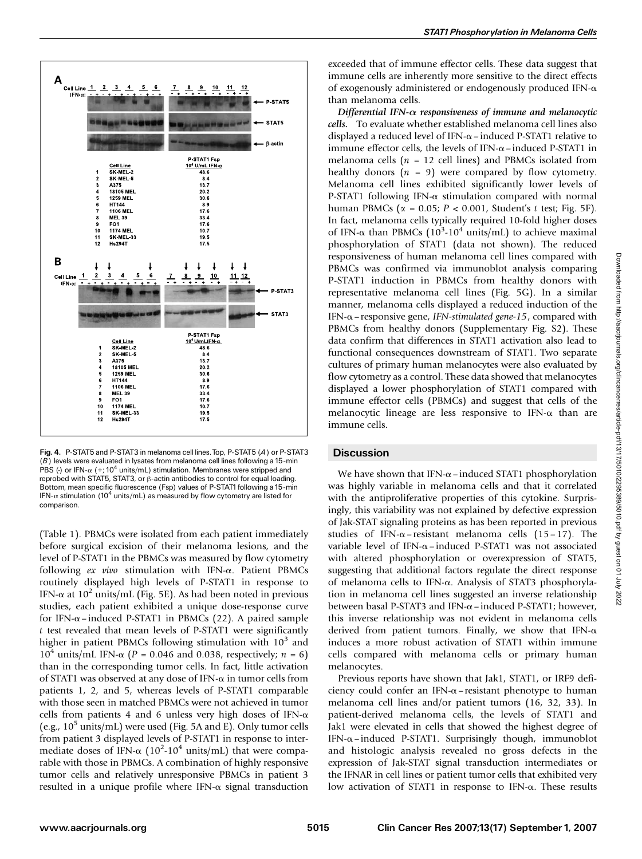

Fig. 4. P-STAT5 and P-STAT3 in melanoma cell lines.Top, P-STAT5 (A) or P-STAT3  $(B)$  levels were evaluated in lysates from melanoma cell lines following a 15-min PBS (-) or IFN- $\alpha$  (+; 10<sup>4</sup> units/mL) stimulation. Membranes were stripped and reprobed with STAT5, STAT3, or  $\beta$ -actin antibodies to control for equal loading. Bottom, mean specific fluorescence (Fsp) values of P-STAT1 following a 15-min IFN- $\alpha$  stimulation (10<sup>4</sup> units/mL) as measured by flow cytometry are listed for comparison.

(Table 1). PBMCs were isolated from each patient immediately before surgical excision of their melanoma lesions, and the level of P-STAT1 in the PBMCs was measured by flow cytometry following  $ex$  vivo stimulation with IFN- $\alpha$ . Patient PBMCs routinely displayed high levels of P-STAT1 in response to IFN- $\alpha$  at 10<sup>2</sup> units/mL (Fig. 5E). As had been noted in previous studies, each patient exhibited a unique dose-response curve for IFN- $\alpha$ –induced P-STAT1 in PBMCs (22). A paired sample t test revealed that mean levels of P-STAT1 were significantly higher in patient PBMCs following stimulation with  $10<sup>3</sup>$  and  $10^4$  units/mL IFN- $\alpha$  (P = 0.046 and 0.038, respectively; n = 6) than in the corresponding tumor cells. In fact, little activation of STAT1 was observed at any dose of IFN- $\alpha$  in tumor cells from patients 1, 2, and 5, whereas levels of P-STAT1 comparable with those seen in matched PBMCs were not achieved in tumor cells from patients 4 and 6 unless very high doses of IFN- $\alpha$ (e.g.,  $10^5$  units/mL) were used (Fig. 5A and E). Only tumor cells from patient 3 displayed levels of P-STAT1 in response to intermediate doses of IFN- $\alpha$  (10<sup>2</sup>-10<sup>4</sup> units/mL) that were compa-<br>rable with those in PBMCs. A combination of highly responsive rable with those in PBMCs. A combination of highly responsive tumor cells and relatively unresponsive PBMCs in patient 3 resulted in a unique profile where IFN- $\alpha$  signal transduction

exceeded that of immune effector cells.These data suggest that immune cells are inherently more sensitive to the direct effects of exogenously administered or endogenously produced IFN- $\alpha$ than melanoma cells.

Differential IFN- $\alpha$  responsiveness of immune and melanocytic cells. To evaluate whether established melanoma cell lines also displayed a reduced level of IFN- $\alpha$  – induced P-STAT1 relative to immune effector cells, the levels of IFN- $\alpha$ –induced P-STAT1 in melanoma cells ( $n = 12$  cell lines) and PBMCs isolated from healthy donors  $(n = 9)$  were compared by flow cytometry. Melanoma cell lines exhibited significantly lower levels of P-STAT1 following IFN- $\alpha$  stimulation compared with normal human PBMCs ( $\alpha = 0.05$ ;  $P < 0.001$ , Student's t test; Fig. 5F). In fact, melanoma cells typically required 10-fold higher doses of IFN- $\alpha$  than PBMCs  $(10^3 \text{-} 10^4 \text{ units/mL})$  to achieve maximal<br>phosphorylation of STAT1 (data not shown). The reduced phosphorylation of STAT1 (data not shown). The reduced responsiveness of human melanoma cell lines compared with PBMCs was confirmed via immunoblot analysis comparing P-STAT1 induction in PBMCs from healthy donors with representative melanoma cell lines (Fig. 5G). In a similar manner, melanoma cells displayed a reduced induction of the IFN- $\alpha$  – responsive gene, IFN-stimulated gene-15, compared with PBMCs from healthy donors (Supplementary Fig. S2). These data confirm that differences in STAT1 activation also lead to functional consequences downstream of STAT1. Two separate cultures of primary human melanocytes were also evaluated by flow cytometry as a control. These data showed that melanocytes displayed a lower phosphorylation of STAT1 compared with immune effector cells (PBMCs) and suggest that cells of the melanocytic lineage are less responsive to IFN- $\alpha$  than are immune cells.

# **Discussion**

We have shown that IFN- $\alpha$ –induced STAT1 phosphorylation was highly variable in melanoma cells and that it correlated with the antiproliferative properties of this cytokine. Surprisingly, this variability was not explained by defective expression of Jak-STAT signaling proteins as has been reported in previous studies of IFN- $\alpha$ -resistant melanoma cells (15-17). The variable level of IFN- $\alpha$ –induced P-STAT1 was not associated with altered phosphorylation or overexpression of STAT5, suggesting that additional factors regulate the direct response of melanoma cells to IFN-a.Analysis of STAT3 phosphorylation in melanoma cell lines suggested an inverse relationship between basal P-STAT3 and IFN- $\alpha$  – induced P-STAT1; however, this inverse relationship was not evident in melanoma cells derived from patient tumors. Finally, we show that IFN- $\alpha$ induces a more robust activation of STAT1 within immune cells compared with melanoma cells or primary human melanocytes.

Previous reports have shown that Jak1, STAT1, or IRF9 deficiency could confer an IFN- $\alpha$ – resistant phenotype to human melanoma cell lines and/or patient tumors (16, 32, 33). In patient-derived melanoma cells, the levels of STAT1 and Jak1 were elevated in cells that showed the highest degree of IFN- $\alpha$ –induced P-STAT1. Surprisingly though, immunoblot and histologic analysis revealed no gross defects in the expression of Jak-STAT signal transduction intermediates or the IFNAR in cell lines or patient tumor cells that exhibited very low activation of STAT1 in response to IFN- $\alpha$ . These results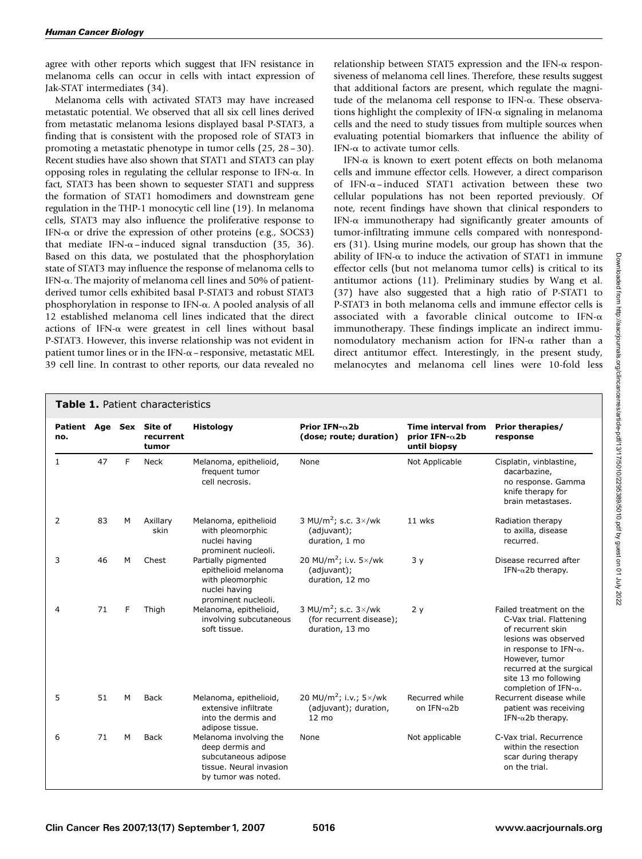agree with other reports which suggest that IFN resistance in melanoma cells can occur in cells with intact expression of Jak-STAT intermediates (34).

Melanoma cells with activated STAT3 may have increased metastatic potential.We observed that all six cell lines derived from metastatic melanoma lesions displayed basal P-STAT3, a finding that is consistent with the proposed role of STAT3 in promoting a metastatic phenotype in tumor cells (25, 28– 30). Recent studies have also shown that STAT1 and STAT3 can play opposing roles in regulating the cellular response to IFN- $\alpha$ . In fact, STAT3 has been shown to sequester STAT1 and suppress the formation of STAT1 homodimers and downstream gene regulation in the THP-1 monocytic cell line (19). In melanoma cells, STAT3 may also influence the proliferative response to IFN- $\alpha$  or drive the expression of other proteins (e.g., SOCS3) that mediate IFN- $\alpha$ –induced signal transduction (35, 36). Based on this data, we postulated that the phosphorylation state of STAT3 may influence the response of melanoma cells to IFN- $\alpha$ . The majority of melanoma cell lines and 50% of patientderived tumor cells exhibited basal P-STAT3 and robust STAT3 phosphorylation in response to IFN- $\alpha$ . A pooled analysis of all 12 established melanoma cell lines indicated that the direct actions of IFN- $\alpha$  were greatest in cell lines without basal P-STAT3. However, this inverse relationship was not evident in patient tumor lines or in the IFN- $\alpha$  – responsive, metastatic MEL 39 cell line.In contrast to other reports, our data revealed no

relationship between STAT5 expression and the IFN- $\alpha$  responsiveness of melanoma cell lines.Therefore, these results suggest that additional factors are present, which regulate the magnitude of the melanoma cell response to IFN- $\alpha$ . These observations highlight the complexity of IFN- $\alpha$  signaling in melanoma cells and the need to study tissues from multiple sources when evaluating potential biomarkers that influence the ability of IFN- $\alpha$  to activate tumor cells.

IFN- $\alpha$  is known to exert potent effects on both melanoma cells and immune effector cells.However, a direct comparison of IFN- $\alpha$ –induced STAT1 activation between these two cellular populations has not been reported previously.Of note, recent findings have shown that clinical responders to IFN- $\alpha$  immunotherapy had significantly greater amounts of tumor-infiltrating immune cells compared with nonresponders (31). Using murine models, our group has shown that the ability of IFN- $\alpha$  to induce the activation of STAT1 in immune effector cells (but not melanoma tumor cells) is critical to its antitumor actions (11). Preliminary studies by Wang et al. (37) have also suggested that a high ratio of P-STAT1 to P-STAT3 in both melanoma cells and immune effector cells is associated with a favorable clinical outcome to IFN- $\alpha$ immunotherapy. These findings implicate an indirect immunomodulatory mechanism action for IFN- $\alpha$  rather than a direct antitumor effect. Interestingly, in the present study, melanocytes and melanoma cell lines were 10-fold less

## Table 1. Patient characteristics

| no.          |    |   | Patient Age Sex Site of<br>recurrent<br>tumor | <b>Histology</b>                                                                                                    | Prior IFN- $\alpha$ 2b<br>(dose; route; duration)                                       | Time interval from<br>prior IFN- $\alpha$ 2b<br>until biopsy | <b>Prior therapies/</b><br>response                                                                                                                                                                                                      |
|--------------|----|---|-----------------------------------------------|---------------------------------------------------------------------------------------------------------------------|-----------------------------------------------------------------------------------------|--------------------------------------------------------------|------------------------------------------------------------------------------------------------------------------------------------------------------------------------------------------------------------------------------------------|
| $\mathbf{1}$ | 47 | F | <b>Neck</b>                                   | Melanoma, epithelioid,<br>frequent tumor<br>cell necrosis.                                                          | None                                                                                    | Not Applicable                                               | Cisplatin, vinblastine,<br>dacarbazine,<br>no response. Gamma<br>knife therapy for<br>brain metastases.                                                                                                                                  |
| 2            | 83 | м | Axillary<br>skin                              | Melanoma, epithelioid<br>with pleomorphic<br>nuclei having<br>prominent nucleoli.                                   | 3 MU/m <sup>2</sup> ; s.c. $3\times$ /wk<br>(adjuvant);<br>duration, 1 mo               | 11 wks                                                       | Radiation therapy<br>to axilla, disease<br>recurred.                                                                                                                                                                                     |
| 3            | 46 | м | Chest                                         | Partially pigmented<br>epithelioid melanoma<br>with pleomorphic<br>nuclei having<br>prominent nucleoli.             | 20 MU/m <sup>2</sup> ; i.v. $5 \times$ /wk<br>(adjuvant);<br>duration, 12 mo            | 3y                                                           | Disease recurred after<br>IFN- $\alpha$ 2b therapy.                                                                                                                                                                                      |
| 4            | 71 | F | Thigh                                         | Melanoma, epithelioid,<br>involving subcutaneous<br>soft tissue.                                                    | 3 MU/m <sup>2</sup> ; s.c. $3\times$ /wk<br>(for recurrent disease);<br>duration, 13 mo | 2y                                                           | Failed treatment on the<br>C-Vax trial. Flattening<br>of recurrent skin<br>lesions was observed<br>in response to IFN- $\alpha$ .<br>However, tumor<br>recurred at the surgical<br>site 13 mo following<br>completion of IFN- $\alpha$ . |
| 5            | 51 | м | <b>Back</b>                                   | Melanoma, epithelioid,<br>extensive infiltrate<br>into the dermis and<br>adipose tissue.                            | 20 MU/m <sup>2</sup> ; i.v.; $5 \times$ /wk<br>(adjuvant); duration,<br>$12 \text{ mo}$ | Recurred while<br>on IFN- $\alpha$ 2b                        | Recurrent disease while<br>patient was receiving<br>IFN- $\alpha$ 2b therapy.                                                                                                                                                            |
| 6            | 71 | м | <b>Back</b>                                   | Melanoma involving the<br>deep dermis and<br>subcutaneous adipose<br>tissue. Neural invasion<br>by tumor was noted. | None                                                                                    | Not applicable                                               | C-Vax trial. Recurrence<br>within the resection<br>scar during therapy<br>on the trial.                                                                                                                                                  |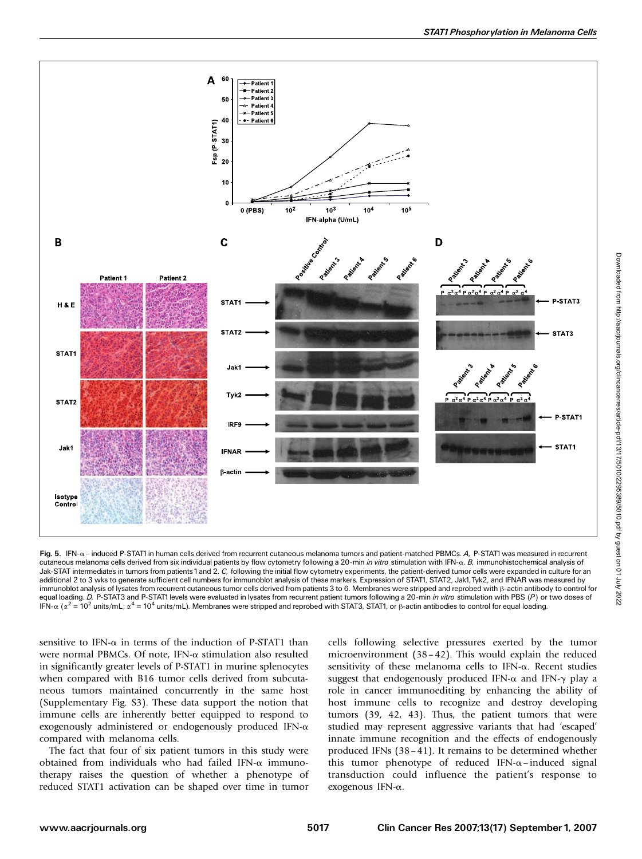

Fig. 5. IFN- $\alpha$  - induced P-STAT1 in human cells derived from recurrent cutaneous melanoma tumors and patient-matched PBMCs. A, P-STAT1 was measured in recurrent cutaneous melanoma cells derived from six individual patients by flow cytometry following a 20-min in vitro stimulation with IFN-a. B, immunohistochemical analysis of Jak-STAT intermediates in tumors from patients 1 and 2. C, following the initial flow cytometry experiments, the patient-derived tumor cells were expanded in culture for an additional 2 to 3 wks to generate sufficient cell numbers for immunoblot analysis of these markers. Expression of STAT1, STAT2, Jak1, Tyk2, and IFNAR was measured by immunoblot analysis of lysates from recurrent cutaneous tumor cells derived from patients 3 to 6. Membranes were stripped and reprobed with h-actin antibody to control for equal loading. D, P-STAT3 and P-STAT1 levels were evaluated in lysates from recurrent patient tumors following a 20-min in vitro stimulation with PBS (P) or two doses of IFN- $\alpha$  ( $\alpha^2 = 10^2$  units/mL;  $\alpha^4 = 10^4$  units/mL). Membranes were stripped and reprobed with STAT3, STAT1, or  $\beta$ -actin antibodies to control for equal loading.

sensitive to IFN- $\alpha$  in terms of the induction of P-STAT1 than were normal PBMCs. Of note, IFN- $\alpha$  stimulation also resulted in significantly greater levels of P-STAT1 in murine splenocytes when compared with B16 tumor cells derived from subcutaneous tumors maintained concurrently in the same host (Supplementary Fig. S3). These data support the notion that immune cells are inherently better equipped to respond to exogenously administered or endogenously produced IFN- $\alpha$ compared with melanoma cells.

The fact that four of six patient tumors in this study were obtained from individuals who had failed IFN- $\alpha$  immunotherapy raises the question of whether a phenotype of reduced STAT1 activation can be shaped over time in tumor cells following selective pressures exerted by the tumor microenvironment  $(38 - 42)$ . This would explain the reduced sensitivity of these melanoma cells to IFN- $\alpha$ . Recent studies suggest that endogenously produced IFN- $\alpha$  and IFN- $\gamma$  play a role in cancer immunoediting by enhancing the ability of host immune cells to recognize and destroy developing tumors  $(39, 42, 43)$ . Thus, the patient tumors that were studied may represent aggressive variants that had 'escaped' innate immune recognition and the effects of endogenously produced IFNs  $(38-41)$ . It remains to be determined whether this tumor phenotype of reduced IFN- $\alpha$ -induced signal transduction could influence the patient's response to exogenous IFN-a.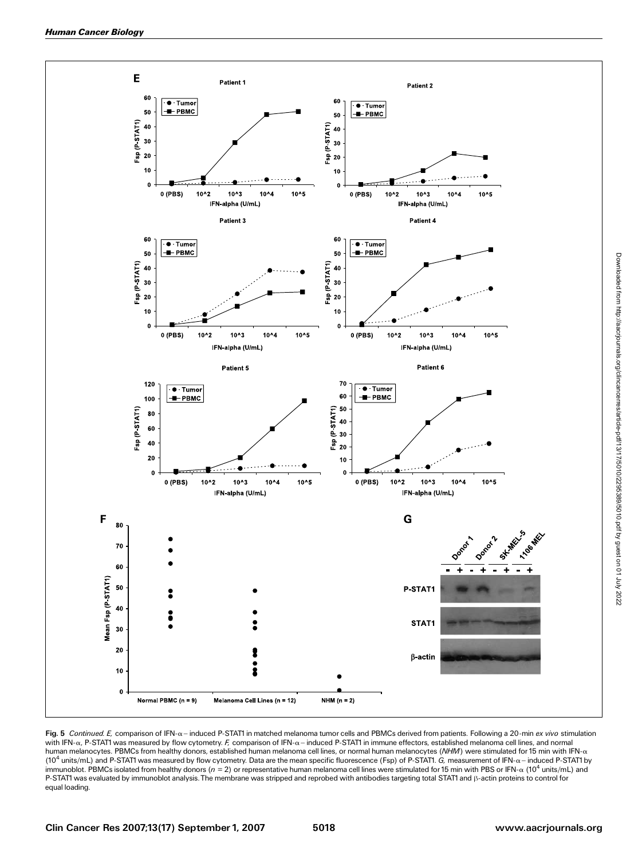

Fig. 5 Continued. E, comparison of IFN- $\alpha$ -induced P-STAT1 in matched melanoma tumor cells and PBMCs derived from patients. Following a 20-min ex vivo stimulation with IFN- $\alpha$ , P-STAT1 was measured by flow cytometry. F, comparison of IFN- $\alpha$  - induced P-STAT1 in immune effectors, established melanoma cell lines, and normal human melanocytes. PBMCs from healthy donors, established human melanoma cell lines, or normal human melanocytes (NHM) were stimulated for 15 min with IFN- $\alpha$ (10<sup>4</sup> units/mL) and P-STAT1 was measured by flow cytometry. Data are the mean specific fluorescence (Fsp) of P-STAT1.  $G$ , measurement of IFN- $\alpha$  - induced P-STAT1 by immunoblot. PBMCs isolated from healthy donors ( $n = 2$ ) or representative human melanoma cell lines were stimulated for 15 min with PBS or IFN- $\alpha$  (10<sup>4</sup> units/mL) and P-STAT1 was evaluated by immunoblot analysis. The membrane was stripped and reprobed with antibodies targeting total STAT1 and  $\beta$ -actin proteins to control for equal loading.